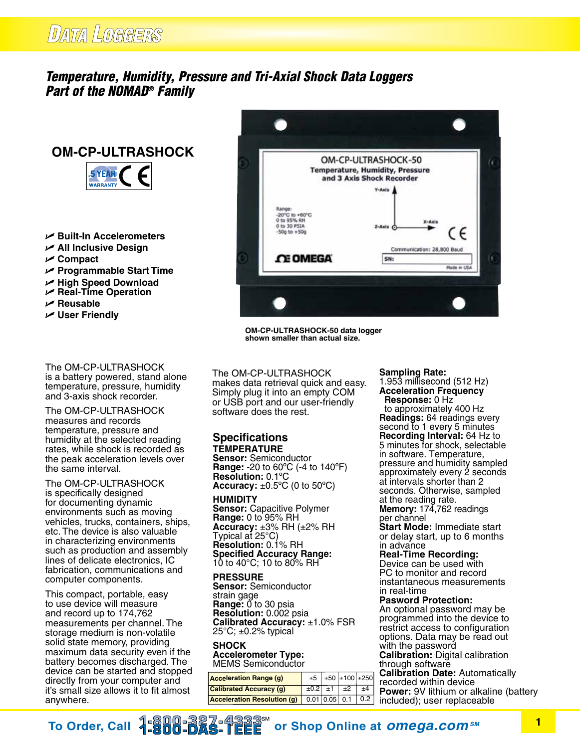# DATA LOGGERS

# *Temperature, Humidity, Pressure and Tri-Axial Shock Data Loggers Part of the NOMAD® Family*

# **OM-CP-ULTRASHOCK**



- U **Built-In Accelerometers**
- U **All Inclusive Design**
- U **Compact**
- U **Programmable Start Time**
- U **High Speed Download**
- U **Real-Time Operation**
- U **Reusable**
- **∠** User Friendly

The OM-CP-ULTRASHOCK is a battery powered, stand alone temperature, pressure, humidity and 3-axis shock recorder.

The OM-CP-ULTRASHOCK measures and records temperature, pressure and humidity at the selected reading rates, while shock is recorded as the peak acceleration levels over the same interval.

The OM-CP-ULTRASHOCK is specifically designed for documenting dynamic environments such as moving vehicles, trucks, containers, ships, etc. The device is also valuable in characterizing environments such as production and assembly lines of delicate electronics, IC fabrication, communications and computer components.

This compact, portable, easy to use device will measure and record up to 174,762 measurements per channel. The storage medium is non-volatile solid state memory, providing maximum data security even if the battery becomes discharged. The device can be started and stopped directly from your computer and it's small size allows it to fit almost anywhere.



**OM-CP-ULTRASHOCK-50 data logger shown smaller than actual size.**

The OM-CP-ULTRASHOCK makes data retrieval quick and easy. Simply plug it into an empty COM or USB port and our user-friendly software does the rest.

## **Specifications TEMPERATURE**

**Sensor:** Semiconductor **Range:** -20 to 60ºC (-4 to 140ºF) **Resolution:** 0.1ºC **Accuracy:** ±0.5ºC (0 to 50ºC)

#### **humidity**

**Sensor:** Capacitive Polymer **Range:** 0 to 95% RH **Accuracy:** ±3% RH (±2% RH Typical at 25°C) **Resolution:** 0.1% RH **Specified Accuracy Range:**  10 to 40°C; 10 to 80% RH

#### **PRESSURE**

**Sensor:** Semiconductor strain gage **Range:**  $\breve{0}$  to 30 psia **Resolution:** 0.002 psia **Calibrated Accuracy:** ±1.0% FSR  $25^{\circ}$ C;  $\pm$ 0.2% typical

#### **Shock Accelerometer Type:** MEMS Semiconductor

| <b>Acceleration Range (g)</b>      |   |                 | $\pm 5$ $\pm 50$ $\pm 100$ $\pm 250$ |              |
|------------------------------------|---|-----------------|--------------------------------------|--------------|
| <b>Calibrated Accuracy (g)</b>     |   |                 | $\pm 0.2$ $\pm 1$ $\pm 2$            | ±4           |
| <b>Acceleration Resolution (g)</b> | Ш | $0.01$ 0.05 0.1 |                                      | $\sqrt{0.2}$ |

#### **Sampling Rate:**

1.953 millisecond (512 Hz) **Acceleration Frequency Response:** 0 Hz

 to approximately 400 Hz **Readings:** 64 readings every second to 1 every 5 minutes **Recording Interval:** 64 Hz to 5 minutes for shock, selectable in software. Temperature, pressure and humidity sampled approximately every 2 seconds at intervals shorter than 2 seconds. Otherwise, sampled at the reading rate.

**Memory:** 174,762 readings per channel

**Start Mode:** Immediate start or delay start, up to 6 months in advance

**Real-Time Recording:**

Device can be used with PC to monitor and record instantaneous measurements in real-time

#### **Pasword Protection:**

An optional password may be programmed into the device to restrict access to configuration options. Data may be read out with the password **Calibration:** Digital calibration through software **Calibration Date:** Automatically recorded within device **Power:** 9V lithium or alkaline (battery included); user replaceable